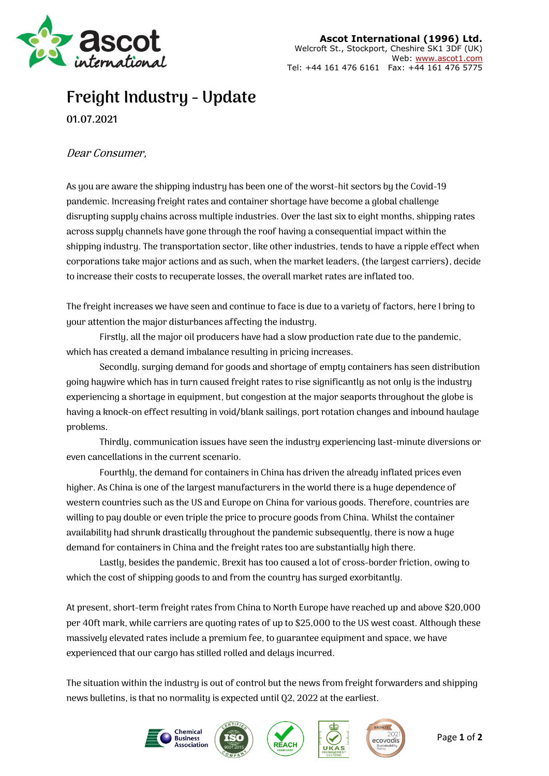

## **Freight Industry - Update**

**01.07.2021**

## Dear Consumer,

As you are aware the shipping industry has been one of the worst-hit sectors by the Covid-19 pandemic. Increasing freight rates and container shortage have become a global challenge disrupting supply chains across multiple industries. Over the last six to eight months, shipping rates across supply channels have gone through the roof having a consequential impact within the shipping industry. The transportation sector, like other industries, tends to have a ripple effect when corporations take major actions and as such, when the market leaders, (the largest carriers), decide to increase their costs to recuperate losses, the overall market rates are inflated too.

The freight increases we have seen and continue to face is due to a variety of factors, here I bring to your attention the major disturbances affecting the industry.

Firstly, all the major oil producers have had a slow production rate due to the pandemic, which has created a demand imbalance resulting in pricing increases.

Secondly, surging demand for goods and shortage of empty containers has seen distribution going haywire which has in turn caused freight rates to rise significantly as not only is the industry experiencing a shortage in equipment, but congestion at the major seaports throughout the globe is having a knock-on effect resulting in void/blank sailings, port rotation changes and inbound haulage problems.

Thirdly, communication issues have seen the industry experiencing last-minute diversions or even cancellations in the current scenario.

Fourthly, the demand for containers in China has driven the already inflated prices even higher. As China is one of the largest manufacturers in the world there is a huge dependence of western countries such as the US and Europe on China for various goods. Therefore, countries are willing to pay double or even triple the price to procure goods from China. Whilst the container availability had shrunk drastically throughout the pandemic subsequently, there is now a huge demand for containers in China and the freight rates too are substantially high there.

Lastly, besides the pandemic, Brexit has too caused a lot of cross-border friction, owing to which the cost of shipping goods to and from the country has surged exorbitantly.

At present, short-term freight rates from China to North Europe have reached up and above \$20,000 per 40ft mark, while carriers are quoting rates of up to \$25,000 to the US west coast. Although these massively elevated rates include a premium fee, to guarantee equipment and space, we have experienced that our cargo has stilled rolled and delays incurred.

The situation within the industry is out of control but the news from freight forwarders and shipping news bulletins, is that no normality is expected until Q2, 2022 at the earliest.